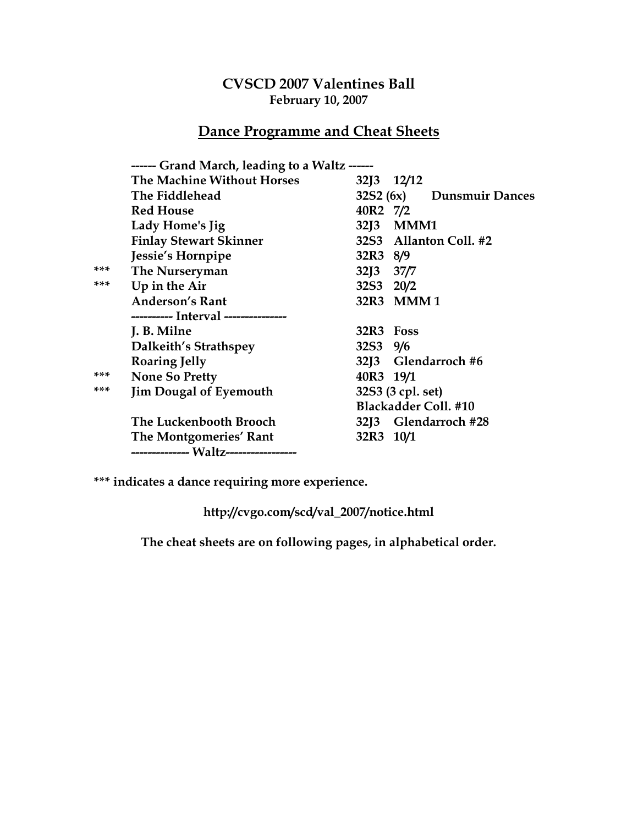## CVSCD 2007 Valentines Ball February 10, 2007

## Dance Programme and Cheat Sheets

|     | ------ Grand March, leading to a Waltz ------ |                                    |  |
|-----|-----------------------------------------------|------------------------------------|--|
|     | The Machine Without Horses                    | $32\binom{3}{2}$ $12\binom{12}{2}$ |  |
|     | The Fiddlehead                                | 32S2 (6x) Dunsmuir Dances          |  |
|     | <b>Red House</b>                              | 40R2 7/2                           |  |
|     | Lady Home's Jig                               | 32J3 MMM1                          |  |
|     | <b>Finlay Stewart Skinner</b>                 | 32S3 Allanton Coll. #2             |  |
|     | Jessie's Hornpipe                             | 32R3 8/9                           |  |
| *** | The Nurseryman                                | 32] 37/7                           |  |
| *** | Up in the Air                                 | 32S3 20/2                          |  |
|     | <b>Anderson's Rant</b>                        | 32R3 MMM1                          |  |
|     | ---------- Interval ---------------           |                                    |  |
|     | J. B. Milne                                   | 32R3 Foss                          |  |
|     | Dalkeith's Strathspey                         | 32S3 9/6                           |  |
|     | <b>Roaring Jelly</b>                          | 32J3 Glendarroch #6                |  |
| *** | <b>None So Pretty</b>                         | 40R3 19/1                          |  |
| *** | <b>Jim Dougal of Eyemouth</b>                 | 32S3 (3 cpl. set)                  |  |
|     |                                               | <b>Blackadder Coll. #10</b>        |  |
|     | The Luckenbooth Brooch                        | 32J3 Glendarroch #28               |  |
|     | The Montgomeries' Rant                        | 32R3 10/1                          |  |
|     |                                               |                                    |  |

\*\*\* indicates a dance requiring more experience.

http://cvgo.com/scd/val\_2007/notice.html

The cheat sheets are on following pages, in alphabetical order.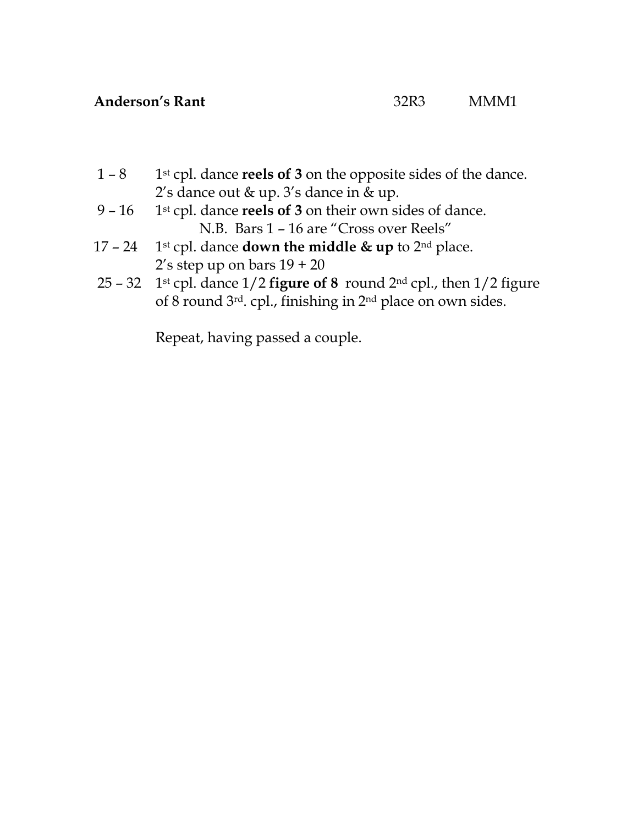- $1 8$  1<sup>st</sup> cpl. dance **reels of 3** on the opposite sides of the dance. 2's dance out & up. 3's dance in & up.
- 9  $16$  1st cpl. dance reels of 3 on their own sides of dance. N.B. Bars 1 – 16 are "Cross over Reels"
- 17 24 1st cpl. dance **down the middle & up** to  $2^{nd}$  place.  $2's$  step up on bars  $19 + 20$
- 25 32 1<sup>st</sup> cpl. dance  $1/2$  figure of 8 round  $2<sup>nd</sup>$  cpl., then  $1/2$  figure of 8 round 3rd. cpl., finishing in 2nd place on own sides.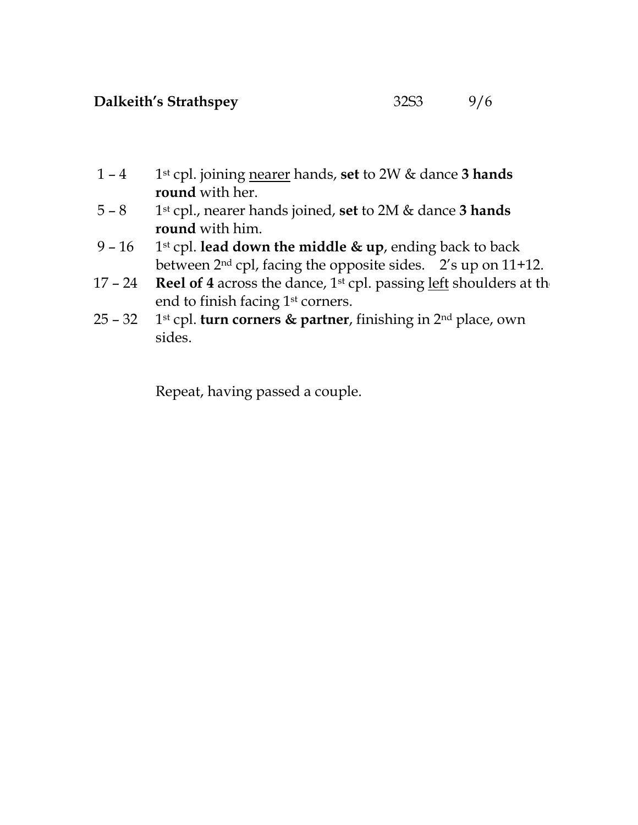- 1 4 1st cpl. joining nearer hands, set to 2W & dance 3 hands round with her.
- $5 8$  1<sup>st</sup> cpl., nearer hands joined, set to 2M & dance 3 hands round with him.
- 9 16 1st cpl. lead down the middle & up, ending back to back between 2nd cpl, facing the opposite sides. 2's up on 11+12.
- 17 24 Reel of 4 across the dance,  $1<sup>st</sup>$  cpl. passing left shoulders at the end to finish facing 1<sup>st</sup> corners.
- 25 32 1st cpl. turn corners & partner, finishing in  $2<sup>nd</sup>$  place, own sides.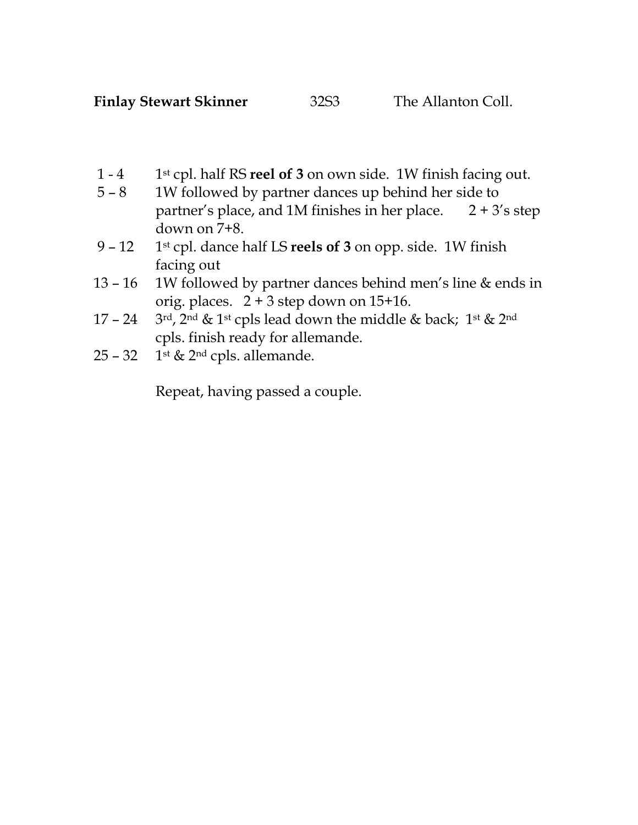Finlay Stewart Skinner 32S3 The Allanton Coll.

- 1 4 1st cpl. half RS reel of 3 on own side. 1W finish facing out.
- 5 8 1W followed by partner dances up behind her side to partner's place, and 1M finishes in her place.  $2 + 3$ 's step down on 7+8.
- 9 12 1st cpl. dance half LS reels of 3 on opp. side. 1W finish facing out
- 13 16 1W followed by partner dances behind men's line & ends in orig. places. 2 + 3 step down on 15+16.
- 17 24 3rd, 2nd & 1st cpls lead down the middle & back; 1st & 2nd cpls. finish ready for allemande.
- $25 32$  1st & 2<sup>nd</sup> cpls. allemande.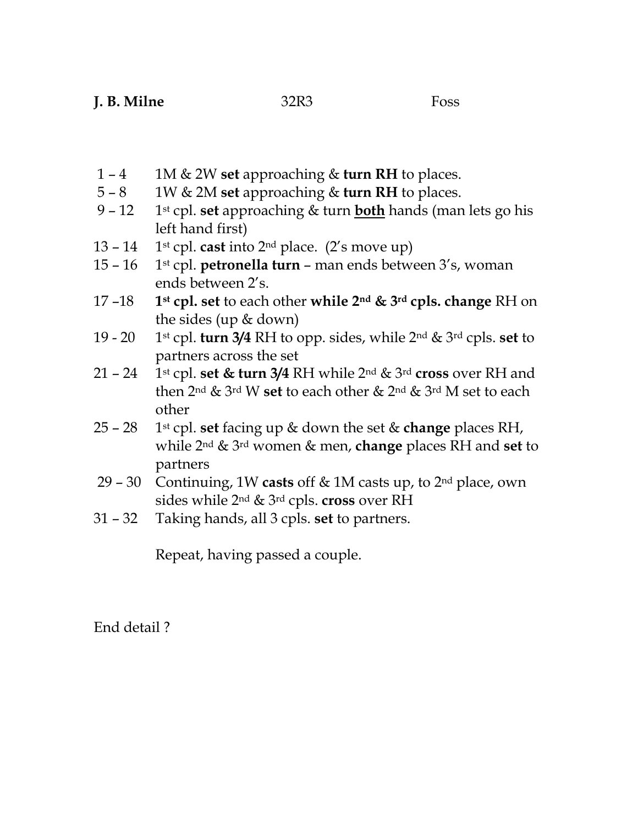- 1 4 1M & 2W set approaching & turn RH to places.
- $5 8$  1W & 2M set approaching & turn RH to places.
- 9 12 1st cpl. set approaching  $&$  turn both hands (man lets go his left hand first)
- 13 14 1st cpl. cast into  $2<sup>nd</sup>$  place. (2's move up)
- 15 16 1st cpl. petronella turn man ends between  $3's$ , woman ends between 2's.
- 17 -18 1<sup>st</sup> cpl. set to each other while  $2^{nd}$  &  $3^{rd}$  cpls. change RH on the sides (up & down)
- 19 20 1<sup>st</sup> cpl. turn 3/4 RH to opp. sides, while 2<sup>nd</sup> & 3<sup>rd</sup> cpls. set to partners across the set
- 21 24 1st cpl. set & turn 3/4 RH while  $2^{nd}$  &  $3^{rd}$  cross over RH and then 2nd & 3rd W set to each other & 2nd & 3rd M set to each other
- 25 28 1<sup>st</sup> cpl. set facing up & down the set & change places RH, while  $2^{nd}$  &  $3^{rd}$  women & men, change places RH and set to partners
- 29 30 Continuing, 1W casts off & 1M casts up, to 2nd place, own sides while 2<sup>nd</sup> & <sup>3rd</sup> cpls. **cross** over RH
- 31 32 Taking hands, all 3 cpls. set to partners.

End detail ?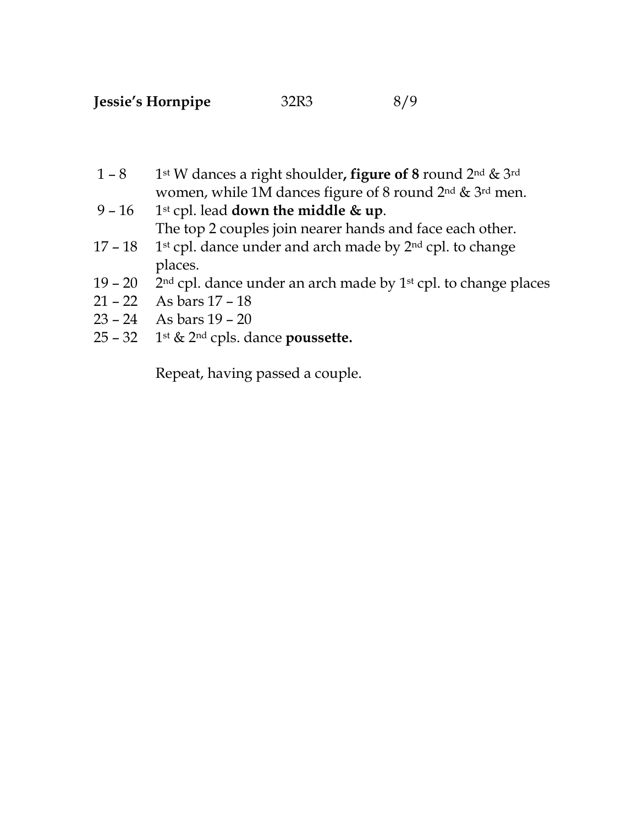- 1 8 1st W dances a right shoulder, figure of 8 round 2<sup>nd</sup> & 3<sup>rd</sup> women, while 1M dances figure of 8 round 2nd & 3rd men.
- 9 16 1st cpl. lead down the middle & up. The top 2 couples join nearer hands and face each other.
- 17 18 1st cpl. dance under and arch made by  $2<sup>nd</sup>$  cpl. to change places.
- 19 20  $2<sup>nd</sup>$  cpl. dance under an arch made by 1<sup>st</sup> cpl. to change places
- 21 22 As bars 17 18
- 23 24 As bars 19 20
- $25 32$  1st & 2<sup>nd</sup> cpls. dance **poussette.**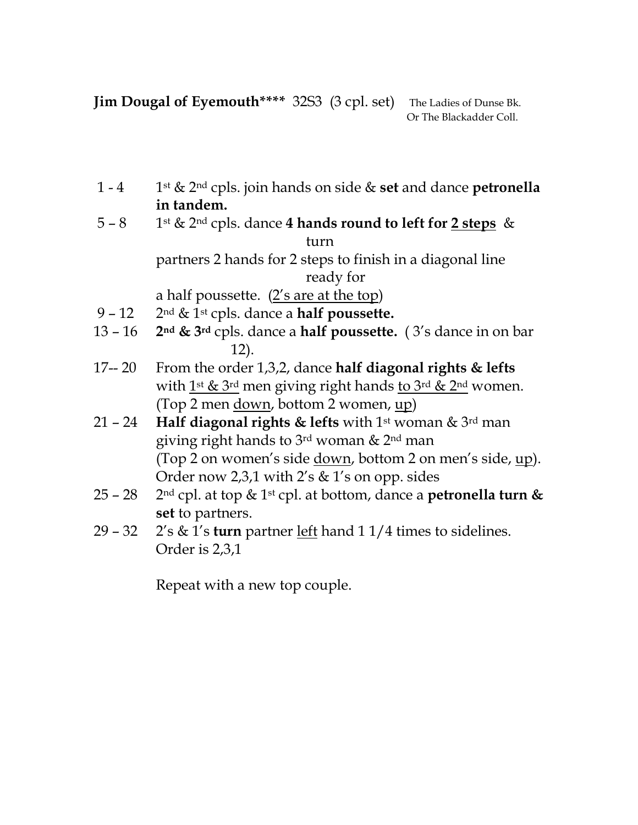Jim Dougal of Eyemouth\*\*\*\* 32S3 (3 cpl. set) The Ladies of Dunse Bk.

Or The Blackadder Coll.

- 1 4 1st & 2<sup>nd</sup> cpls. join hands on side & set and dance petronella in tandem.
- 5 8 1st & 2<sup>nd</sup> cpls. dance 4 hands round to left for 2 steps & turn

partners 2 hands for 2 steps to finish in a diagonal line ready for

a half poussette.  $(2's are at the top)$ 

- 9 12 2nd & 1st cpls. dance a half poussette.
- 13 16 2<sup>nd</sup> & 3<sup>rd</sup> cpls. dance a **half poussette.** (3's dance in on bar 12).
- 17-- 20 From the order 1,3,2, dance half diagonal rights & lefts with  $1^{st}$  &  $3^{rd}$  men giving right hands to  $3^{rd}$  &  $2^{nd}$  women. (Top 2 men <u>down</u>, bottom 2 women, up)
- 21 24 Half diagonal rights & lefts with 1st woman & 3rd man giving right hands to 3rd woman & 2nd man (Top 2 on women's side down, bottom 2 on men's side, up). Order now 2,3,1 with 2's & 1's on opp. sides
- 25 28 2<sup>nd</sup> cpl. at top & 1<sup>st</sup> cpl. at bottom, dance a **petronella turn &** set to partners.
- 29 32 2's & 1's turn partner <u>left</u> hand 1 1/4 times to sidelines. Order is 2,3,1

Repeat with a new top couple.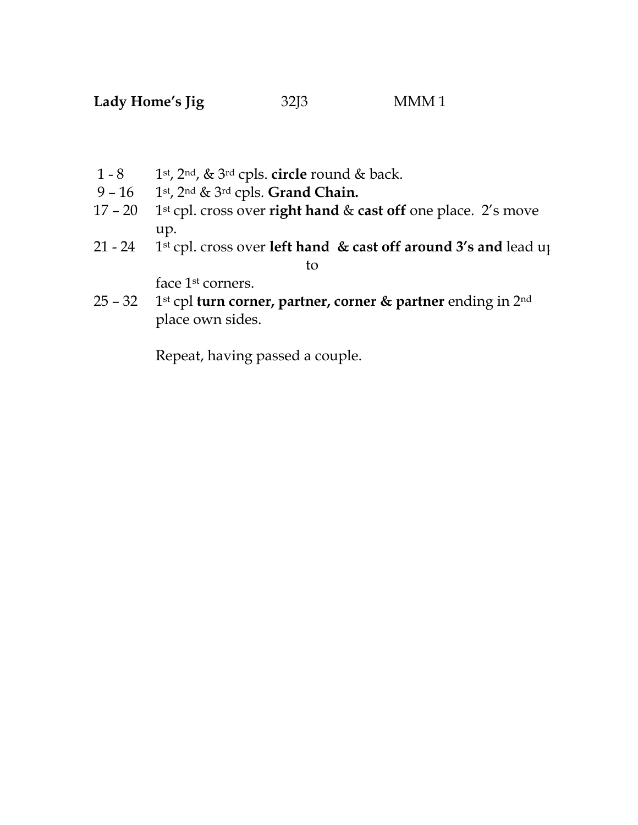- 1 8 1st,  $2<sup>nd</sup>$ , &  $3<sup>rd</sup>$  cpls. circle round & back.
- 9 16 1st, 2nd & 3rd cpls. Grand Chain.
- 17 20 1<sup>st</sup> cpl. cross over right hand  $&$  cast off one place. 2's move up.
- 21 24 1st cpl. cross over left hand  $\&$  cast off around 3's and lead up to

face 1<sup>st</sup> corners.

25 – 32 1st cpl turn corner, partner, corner & partner ending in  $2^{nd}$ place own sides.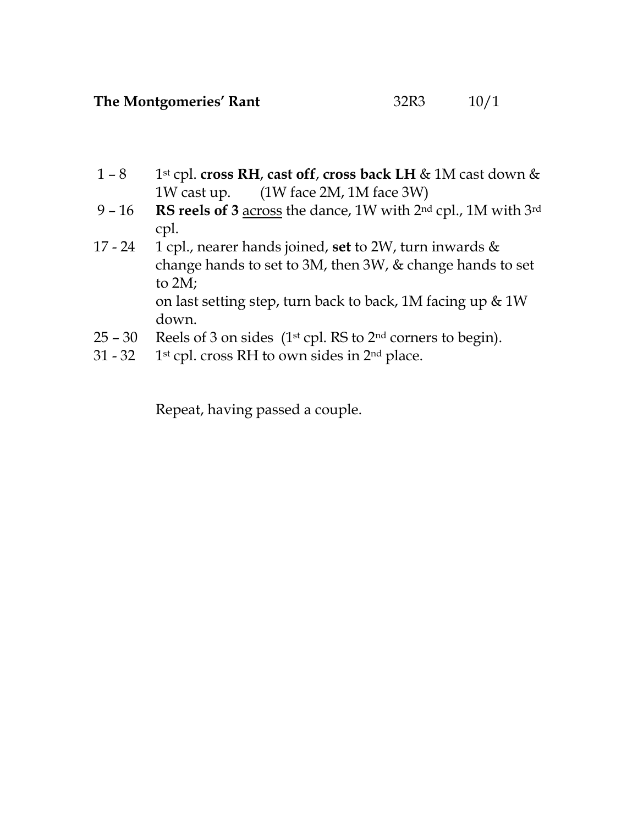- 1 8 1st cpl. cross RH, cast off, cross back LH & 1M cast down & 1W cast up. (1W face 2M, 1M face 3W)
- 9 16 RS reels of 3 across the dance, 1W with  $2<sup>nd</sup>$  cpl., 1M with  $3<sup>rd</sup>$ cpl.
- 17 24 1 cpl., nearer hands joined, set to 2W, turn inwards  $\&$ change hands to set to 3M, then 3W, & change hands to set to 2M; on last setting step, turn back to back, 1M facing up & 1W down.
- $25 30$  Reels of 3 on sides (1<sup>st</sup> cpl. RS to 2<sup>nd</sup> corners to begin).
- 31 32 1<sup>st</sup> cpl. cross RH to own sides in 2<sup>nd</sup> place.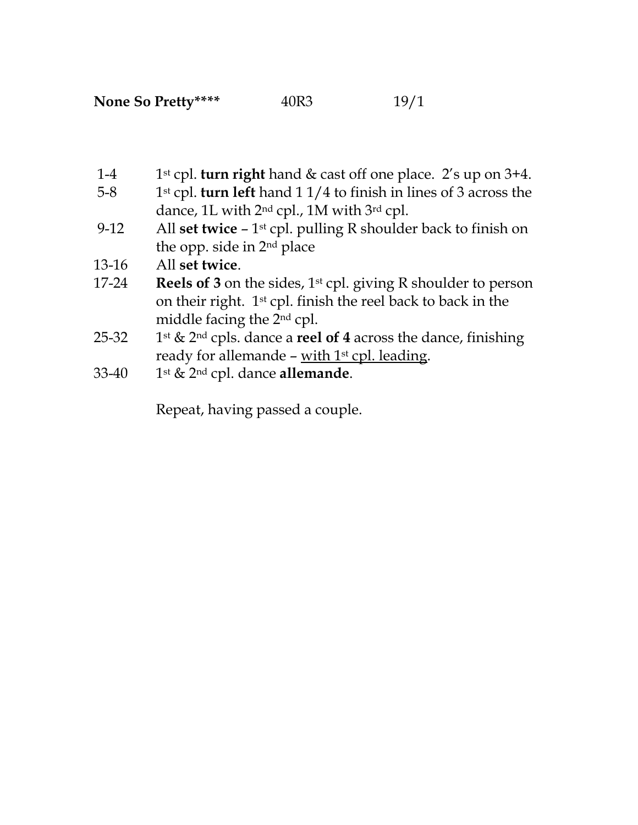- 1-4 1<sup>st</sup> cpl. turn right hand & cast off one place. 2's up on 3+4.
- 5-8 1st cpl. turn left hand  $11/4$  to finish in lines of 3 across the dance, 1L with 2<sup>nd</sup> cpl., 1M with 3<sup>rd</sup> cpl.
- 9-12 All set twice 1<sup>st</sup> cpl. pulling R shoulder back to finish on the opp. side in 2nd place
- 13-16 All set twice.
- 17-24 Reels of 3 on the sides,  $1^{st}$  cpl. giving R shoulder to person on their right. 1st cpl. finish the reel back to back in the middle facing the 2nd cpl.
- 25-32 1<sup>st</sup> & 2<sup>nd</sup> cpls. dance a **reel of 4** across the dance, finishing ready for allemande - with  $1<sup>st</sup>$  cpl. leading.
- 33-40 1st  $& 2<sup>nd</sup>$  cpl. dance allemande.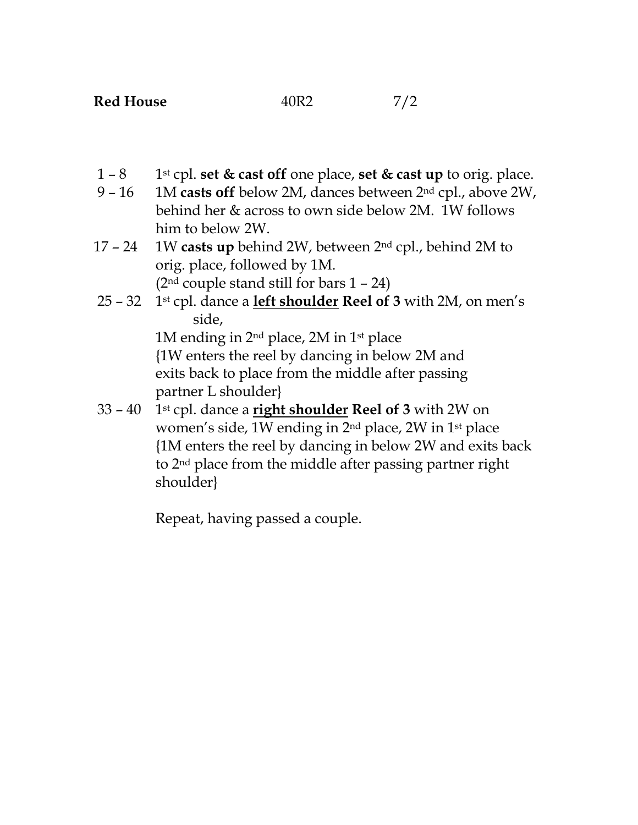- 1 8 1st cpl. set  $\&$  cast off one place, set  $\&$  cast up to orig. place.
- 9 16 1M casts off below 2M, dances between  $2<sup>nd</sup>$  cpl., above 2W, behind her & across to own side below 2M. 1W follows him to below 2W.
- 17 24 1W casts up behind 2W, between  $2<sup>nd</sup>$  cpl., behind 2M to orig. place, followed by 1M.  $(2<sup>nd</sup> couple stand still for bars 1 – 24)$
- 25 32 1st cpl. dance a **left shoulder Reel of 3** with 2M, on men's side,

1M ending in 2nd place, 2M in 1st place {1W enters the reel by dancing in below 2M and exits back to place from the middle after passing partner L shoulder}

 $33 - 40$  1<sup>st</sup> cpl. dance a **right shoulder Reel of 3** with 2W on women's side, 1W ending in 2nd place, 2W in 1st place {1M enters the reel by dancing in below 2W and exits back to 2nd place from the middle after passing partner right shoulder}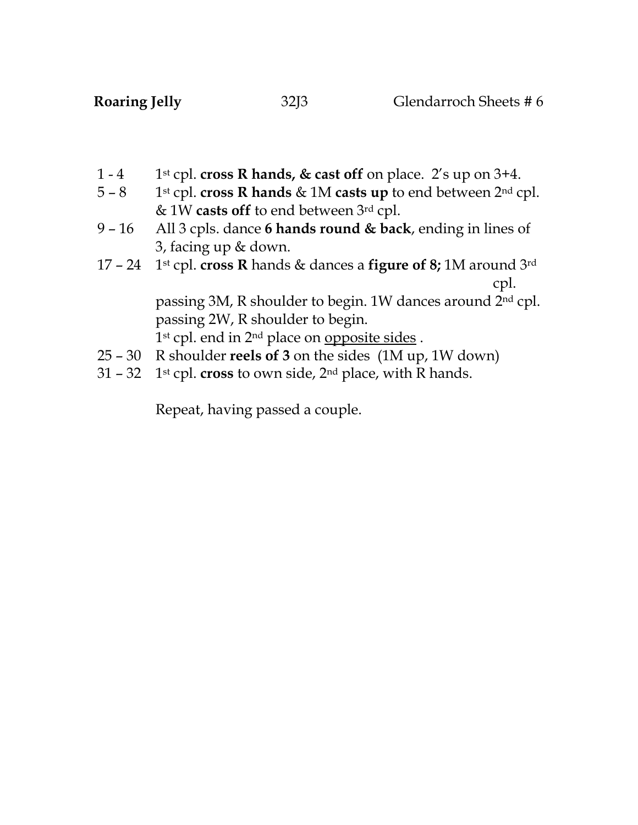- 1 4 1st cpl. cross R hands, & cast off on place. 2's up on 3+4.<br>5 8 1st cpl. cross R hands & 1M casts up to end between 2<sup>nd</sup> c
- 1<sup>st</sup> cpl. cross R hands & 1M casts up to end between  $2<sup>nd</sup>$  cpl. & 1W casts off to end between 3rd cpl.
- 9 16 All 3 cpls. dance 6 hands round & back, ending in lines of 3, facing up & down.
- 17 24 1st cpl. cross R hands & dances a figure of 8; 1M around 3rd cpl.

passing 3M, R shoulder to begin. 1W dances around 2nd cpl. passing 2W, R shoulder to begin.

1<sup>st</sup> cpl. end in 2<sup>nd</sup> place on opposite sides.

- 25 30 R shoulder reels of 3 on the sides (1M up, 1W down)
- 31 32 1<sup>st</sup> cpl. **cross** to own side,  $2^{nd}$  place, with R hands.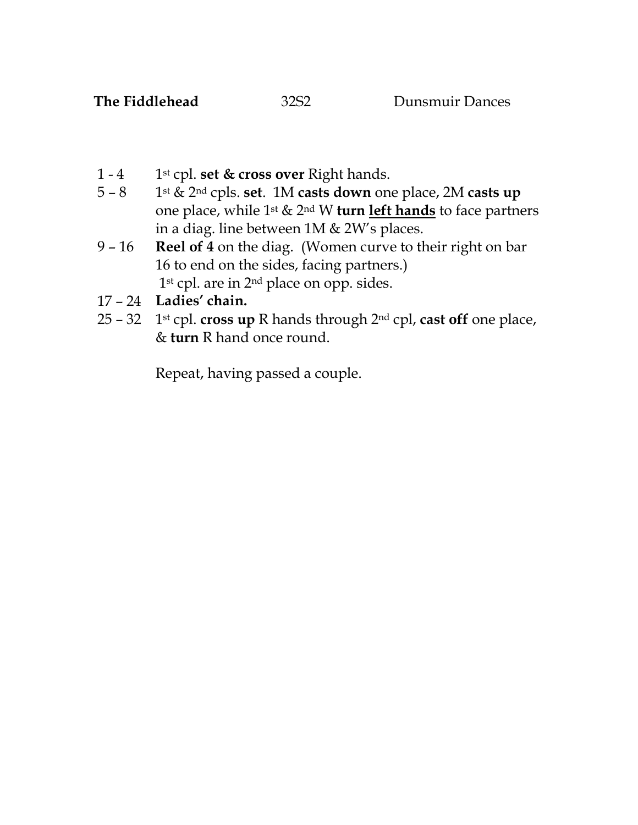- 1 4 1st cpl. set & cross over Right hands.<br>5 8 1st & 2<sup>nd</sup> cpls. set. 1M casts down on
- 1<sup>st</sup> & 2<sup>nd</sup> cpls. set. 1M casts down one place, 2M casts up one place, while  $1^{st}$  &  $2^{nd}$  W turn left hands to face partners in a diag. line between 1M & 2W's places.
- 9 16 Reel of 4 on the diag. (Women curve to their right on bar 16 to end on the sides, facing partners.) 1<sup>st</sup> cpl. are in 2<sup>nd</sup> place on opp. sides.
- 17 24 Ladies' chain.
- 25 32 1st cpl. cross up R hands through  $2^{nd}$  cpl, cast off one place, & turn R hand once round.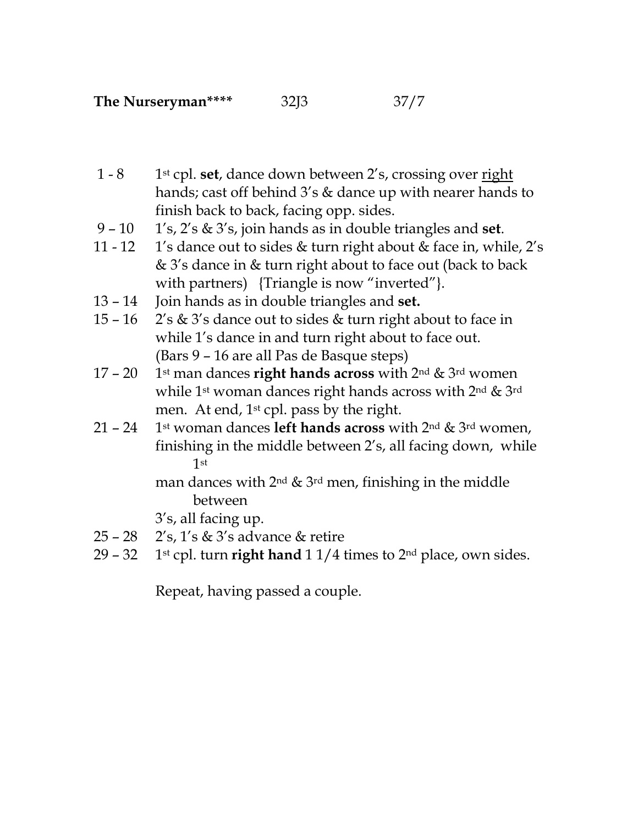- 1 8 1<sup>st</sup> cpl. set, dance down between 2's, crossing over right hands; cast off behind 3's & dance up with nearer hands to finish back to back, facing opp. sides.
- 9 10 1's, 2's & 3's, join hands as in double triangles and set.
- 11 12 1's dance out to sides  $&$  turn right about  $&$  face in, while, 2's & 3's dance in & turn right about to face out (back to back with partners) {Triangle is now "inverted"}.
- 13 14 Join hands as in double triangles and set.
- 15 16  $\cdot$  2's & 3's dance out to sides & turn right about to face in while 1's dance in and turn right about to face out. (Bars 9 – 16 are all Pas de Basque steps)
- 17 20 1st man dances right hands across with  $2^{nd}$  &  $3^{rd}$  women while 1<sup>st</sup> woman dances right hands across with 2<sup>nd</sup> & 3<sup>rd</sup> men. At end, 1<sup>st</sup> cpl. pass by the right.
- 21 24 1st woman dances **left hands across** with  $2^{nd}$  &  $3^{rd}$  women, finishing in the middle between 2's, all facing down, while 1st

man dances with  $2^{nd}$  &  $3^{rd}$  men, finishing in the middle between

3's, all facing up.

- 25 28 2's, 1's & 3's advance & retire
- 29 32 1st cpl. turn right hand  $11/4$  times to  $2<sup>nd</sup>$  place, own sides.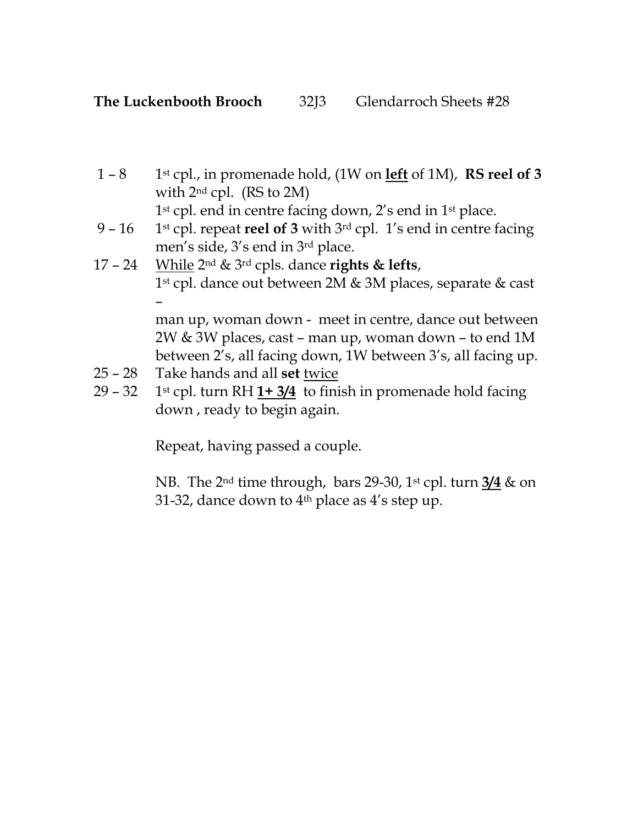1 – 8 1st cpl., in promenade hold, (1W on left of 1M), RS reel of 3 with 2nd cpl. (RS to 2M)

1<sup>st</sup> cpl. end in centre facing down, 2's end in 1<sup>st</sup> place.

- 9 16 1st cpl. repeat reel of 3 with  $3<sup>rd</sup>$  cpl. 1's end in centre facing men's side, 3's end in 3rd place.
- 17 24 While  $2^{nd}$  &  $3^{rd}$  cpls. dance rights & lefts, 1st cpl. dance out between 2M & 3M places, separate & cast – man up, woman down - meet in centre, dance out between 2W & 3W places, cast – man up, woman down – to end 1M between 2's, all facing down, 1W between 3's, all facing up.
- 25 28 Take hands and all set twice
- 29 32 1<sup>st</sup> cpl. turn RH  $1+ 3/4$  to finish in promenade hold facing down , ready to begin again.

Repeat, having passed a couple.

NB. The 2<sup>nd</sup> time through, bars 29-30, 1<sup>st</sup> cpl. turn 3/4 & on 31-32, dance down to  $4<sup>th</sup>$  place as  $4's$  step up.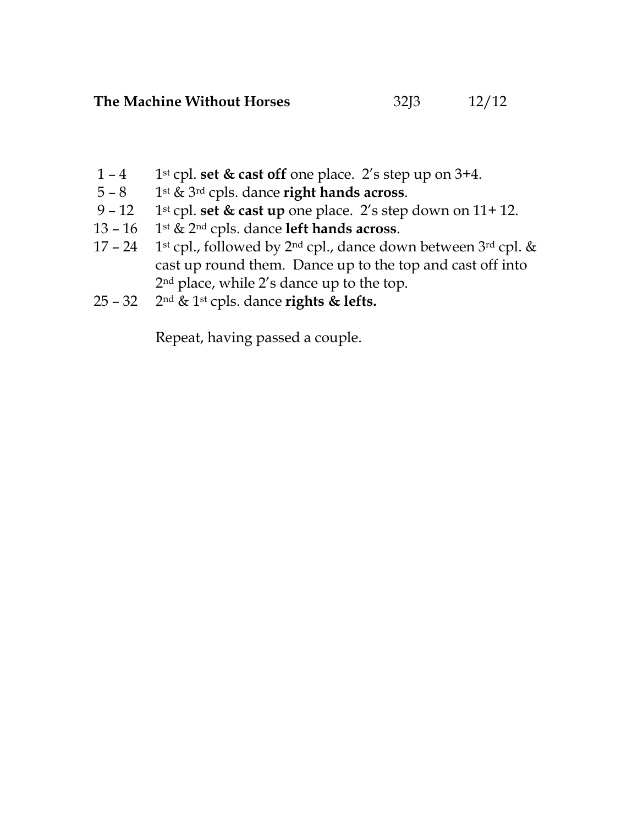- 1 4 1st cpl. set & cast off one place. 2's step up on  $3+4$ .
- 
- 5 8 1st & 3<sup>rd</sup> cpls. dance **right hands across**.<br>9 12 1st cpl. **set & cast up** one place. 2's step 1<sup>st</sup> cpl. set & cast up one place. 2's step down on 11+ 12.
- 13 16 1st  $\&$  2<sup>nd</sup> cpls. dance left hands across.
- 17 24 1st cpl., followed by  $2^{nd}$  cpl., dance down between  $3^{rd}$  cpl. & cast up round them. Dance up to the top and cast off into 2nd place, while 2's dance up to the top.
- 25 32 2<sup>nd</sup> & 1<sup>st</sup> cpls. dance **rights & lefts.**